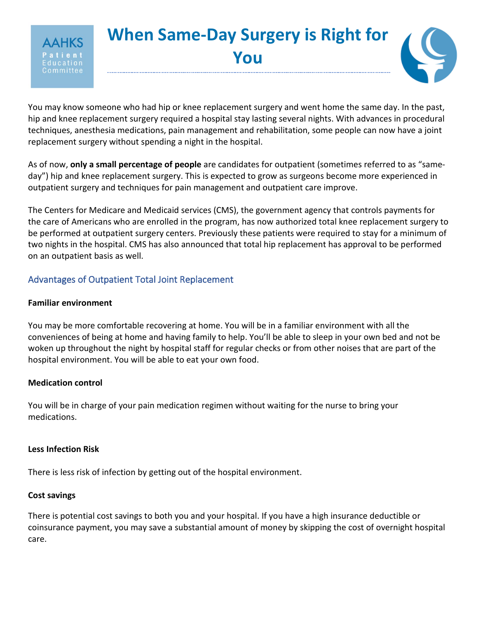

You may know someone who had hip or knee replacement surgery and went home the same day. In the past, hip and knee replacement surgery required a hospital stay lasting several nights. With advances in procedural techniques, anesthesia medications, pain management and rehabilitation, some people can now have a joint replacement surgery without spending a night in the hospital.

As of now, **only a small percentage of people** are candidates for outpatient (sometimes referred to as "sameday") hip and knee replacement surgery. This is expected to grow as surgeons become more experienced in outpatient surgery and techniques for pain management and outpatient care improve.

The Centers for Medicare and Medicaid services (CMS), the government agency that controls payments for the care of Americans who are enrolled in the program, has now authorized total knee replacement surgery to be performed at outpatient surgery centers. Previously these patients were required to stay for a minimum of two nights in the hospital. CMS has also announced that total hip replacement has approval to be performed on an outpatient basis as well.

# Advantages of Outpatient Total Joint Replacement

## **Familiar environment**

ommittee

You may be more comfortable recovering at home. You will be in a familiar environment with all the conveniences of being at home and having family to help. You'll be able to sleep in your own bed and not be woken up throughout the night by hospital staff for regular checks or from other noises that are part of the hospital environment. You will be able to eat your own food.

## **Medication control**

You will be in charge of your pain medication regimen without waiting for the nurse to bring your medications.

### **Less Infection Risk**

There is less risk of infection by getting out of the hospital environment.

## **Cost savings**

There is potential cost savings to both you and your hospital. If you have a high insurance deductible or coinsurance payment, you may save a substantial amount of money by skipping the cost of overnight hospital care.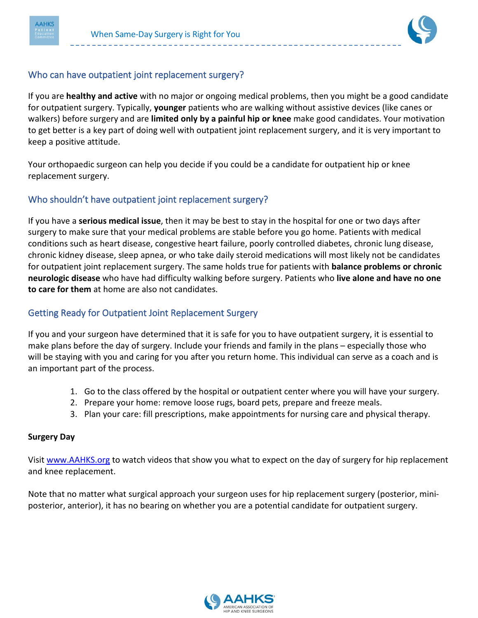

## Who can have outpatient joint replacement surgery?

If you are **healthy and active** with no major or ongoing medical problems, then you might be a good candidate for outpatient surgery. Typically, **younger** patients who are walking without assistive devices (like canes or walkers) before surgery and are **limited only by a painful hip or knee** make good candidates. Your motivation to get better is a key part of doing well with outpatient joint replacement surgery, and it is very important to keep a positive attitude.

Your orthopaedic surgeon can help you decide if you could be a candidate for outpatient hip or knee replacement surgery.

### Who shouldn't have outpatient joint replacement surgery?

If you have a **serious medical issue**, then it may be best to stay in the hospital for one or two days after surgery to make sure that your medical problems are stable before you go home. Patients with medical conditions such as heart disease, congestive heart failure, poorly controlled diabetes, chronic lung disease, chronic kidney disease, sleep apnea, or who take daily steroid medications will most likely not be candidates for outpatient joint replacement surgery. The same holds true for patients with **balance problems or chronic neurologic disease** who have had difficulty walking before surgery. Patients who **live alone and have no one to care for them** at home are also not candidates.

## Getting Ready for Outpatient Joint Replacement Surgery

If you and your surgeon have determined that it is safe for you to have outpatient surgery, it is essential to make plans before the day of surgery. Include your friends and family in the plans – especially those who will be staying with you and caring for you after you return home. This individual can serve as a coach and is an important part of the process.

- 1. Go to the class offered by the hospital or outpatient center where you will have your surgery.
- 2. Prepare your home: remove loose rugs, board pets, prepare and freeze meals.
- 3. Plan your care: fill prescriptions, make appointments for nursing care and physical therapy.

#### **Surgery Day**

Visit [www.AAHKS.org](http://www.aahks.org/) to watch videos that show you what to expect on the day of surgery for hip replacement and knee replacement.

Note that no matter what surgical approach your surgeon uses for hip replacement surgery (posterior, miniposterior, anterior), it has no bearing on whether you are a potential candidate for outpatient surgery.

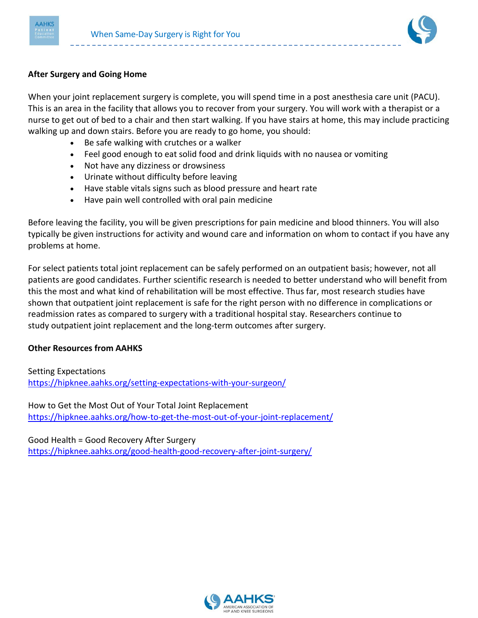



#### **After Surgery and Going Home**

When your joint replacement surgery is complete, you will spend time in a post anesthesia care unit (PACU). This is an area in the facility that allows you to recover from your surgery. You will work with a therapist or a nurse to get out of bed to a chair and then start walking. If you have stairs at home, this may include practicing walking up and down stairs. Before you are ready to go home, you should:

- Be safe walking with crutches or a walker
- Feel good enough to eat solid food and drink liquids with no nausea or vomiting
- Not have any dizziness or drowsiness
- Urinate without difficulty before leaving
- Have stable vitals signs such as blood pressure and heart rate
- Have pain well controlled with oral pain medicine

Before leaving the facility, you will be given prescriptions for pain medicine and blood thinners. You will also typically be given instructions for activity and wound care and information on whom to contact if you have any problems at home.

For select patients total joint replacement can be safely performed on an outpatient basis; however, not all patients are good candidates. Further scientific research is needed to better understand who will benefit from this the most and what kind of rehabilitation will be most effective. Thus far, most research studies have shown that outpatient joint replacement is safe for the right person with no difference in complications or readmission rates as compared to surgery with a traditional hospital stay. Researchers continue to study outpatient joint replacement and the long-term outcomes after surgery.

### **Other Resources from AAHKS**

Setting Expectations <https://hipknee.aahks.org/setting-expectations-with-your-surgeon/>

How to Get the Most Out of Your Total Joint Replacement <https://hipknee.aahks.org/how-to-get-the-most-out-of-your-joint-replacement/>

Good Health = Good Recovery After Surgery <https://hipknee.aahks.org/good-health-good-recovery-after-joint-surgery/>